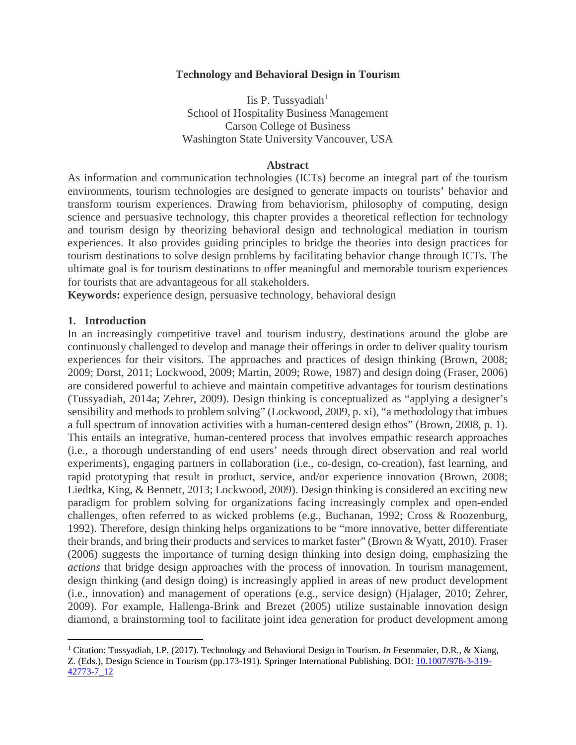### **Technology and Behavioral Design in Tourism**

Iis P. Tussyadiah $<sup>1</sup>$  $<sup>1</sup>$  $<sup>1</sup>$ </sup> School of Hospitality Business Management Carson College of Business Washington State University Vancouver, USA

#### **Abstract**

As information and communication technologies (ICTs) become an integral part of the tourism environments, tourism technologies are designed to generate impacts on tourists' behavior and transform tourism experiences. Drawing from behaviorism, philosophy of computing, design science and persuasive technology, this chapter provides a theoretical reflection for technology and tourism design by theorizing behavioral design and technological mediation in tourism experiences. It also provides guiding principles to bridge the theories into design practices for tourism destinations to solve design problems by facilitating behavior change through ICTs. The ultimate goal is for tourism destinations to offer meaningful and memorable tourism experiences for tourists that are advantageous for all stakeholders.

**Keywords:** experience design, persuasive technology, behavioral design

### **1. Introduction**

 $\overline{\phantom{a}}$ 

In an increasingly competitive travel and tourism industry, destinations around the globe are continuously challenged to develop and manage their offerings in order to deliver quality tourism experiences for their visitors. The approaches and practices of design thinking (Brown, 2008; 2009; Dorst, 2011; Lockwood, 2009; Martin, 2009; Rowe, 1987) and design doing (Fraser, 2006) are considered powerful to achieve and maintain competitive advantages for tourism destinations (Tussyadiah, 2014a; Zehrer, 2009). Design thinking is conceptualized as "applying a designer's sensibility and methods to problem solving" (Lockwood, 2009, p. xi), "a methodology that imbues a full spectrum of innovation activities with a human-centered design ethos" (Brown, 2008, p. 1). This entails an integrative, human-centered process that involves empathic research approaches (i.e., a thorough understanding of end users' needs through direct observation and real world experiments), engaging partners in collaboration (i.e., co-design, co-creation), fast learning, and rapid prototyping that result in product, service, and/or experience innovation (Brown, 2008; Liedtka, King, & Bennett, 2013; Lockwood, 2009). Design thinking is considered an exciting new paradigm for problem solving for organizations facing increasingly complex and open-ended challenges, often referred to as wicked problems (e.g., Buchanan, 1992; Cross & Roozenburg, 1992). Therefore, design thinking helps organizations to be "more innovative, better differentiate their brands, and bring their products and services to market faster" (Brown & Wyatt, 2010). Fraser (2006) suggests the importance of turning design thinking into design doing, emphasizing the *actions* that bridge design approaches with the process of innovation. In tourism management, design thinking (and design doing) is increasingly applied in areas of new product development (i.e., innovation) and management of operations (e.g., service design) (Hjalager, 2010; Zehrer, 2009). For example, Hallenga-Brink and Brezet (2005) utilize sustainable innovation design diamond, a brainstorming tool to facilitate joint idea generation for product development among

<span id="page-0-0"></span><sup>1</sup> Citation: Tussyadiah, I.P. (2017). Technology and Behavioral Design in Tourism. *In* Fesenmaier, D.R., & Xiang, Z. (Eds.), Design Science in Tourism (pp.173-191). Springer International Publishing. DOI: [10.1007/978-3-319-](http://link.springer.com/chapter/10.1007/978-3-319-42773-7_12) [42773-7\\_12](http://link.springer.com/chapter/10.1007/978-3-319-42773-7_12)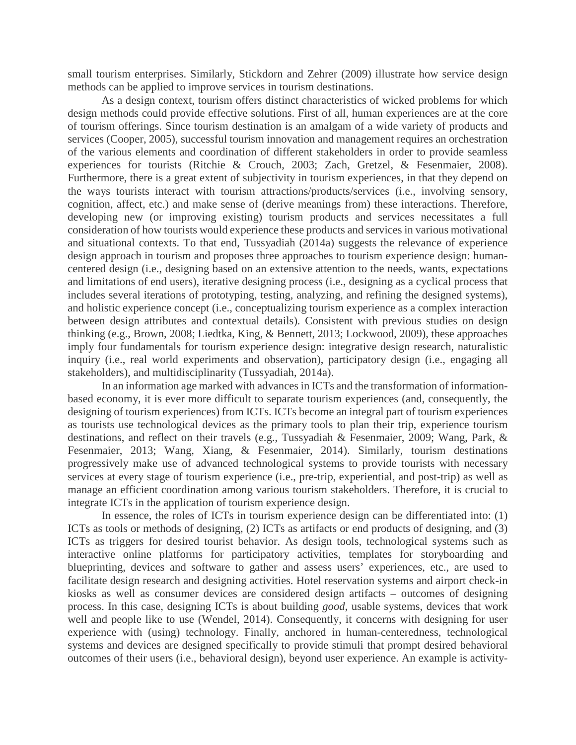small tourism enterprises. Similarly, Stickdorn and Zehrer (2009) illustrate how service design methods can be applied to improve services in tourism destinations.

As a design context, tourism offers distinct characteristics of wicked problems for which design methods could provide effective solutions. First of all, human experiences are at the core of tourism offerings. Since tourism destination is an amalgam of a wide variety of products and services (Cooper, 2005), successful tourism innovation and management requires an orchestration of the various elements and coordination of different stakeholders in order to provide seamless experiences for tourists (Ritchie & Crouch, 2003; Zach, Gretzel, & Fesenmaier, 2008). Furthermore, there is a great extent of subjectivity in tourism experiences, in that they depend on the ways tourists interact with tourism attractions/products/services (i.e., involving sensory, cognition, affect, etc.) and make sense of (derive meanings from) these interactions. Therefore, developing new (or improving existing) tourism products and services necessitates a full consideration of how tourists would experience these products and services in various motivational and situational contexts. To that end, Tussyadiah (2014a) suggests the relevance of experience design approach in tourism and proposes three approaches to tourism experience design: humancentered design (i.e., designing based on an extensive attention to the needs, wants, expectations and limitations of end users), iterative designing process (i.e., designing as a cyclical process that includes several iterations of prototyping, testing, analyzing, and refining the designed systems), and holistic experience concept (i.e., conceptualizing tourism experience as a complex interaction between design attributes and contextual details). Consistent with previous studies on design thinking (e.g., Brown, 2008; Liedtka, King, & Bennett, 2013; Lockwood, 2009), these approaches imply four fundamentals for tourism experience design: integrative design research, naturalistic inquiry (i.e., real world experiments and observation), participatory design (i.e., engaging all stakeholders), and multidisciplinarity (Tussyadiah, 2014a).

In an information age marked with advances in ICTs and the transformation of informationbased economy, it is ever more difficult to separate tourism experiences (and, consequently, the designing of tourism experiences) from ICTs. ICTs become an integral part of tourism experiences as tourists use technological devices as the primary tools to plan their trip, experience tourism destinations, and reflect on their travels (e.g., Tussyadiah & Fesenmaier, 2009; Wang, Park, & Fesenmaier, 2013; Wang, Xiang, & Fesenmaier, 2014). Similarly, tourism destinations progressively make use of advanced technological systems to provide tourists with necessary services at every stage of tourism experience (i.e., pre-trip, experiential, and post-trip) as well as manage an efficient coordination among various tourism stakeholders. Therefore, it is crucial to integrate ICTs in the application of tourism experience design.

In essence, the roles of ICTs in tourism experience design can be differentiated into: (1) ICTs as tools or methods of designing, (2) ICTs as artifacts or end products of designing, and (3) ICTs as triggers for desired tourist behavior. As design tools, technological systems such as interactive online platforms for participatory activities, templates for storyboarding and blueprinting, devices and software to gather and assess users' experiences, etc., are used to facilitate design research and designing activities. Hotel reservation systems and airport check-in kiosks as well as consumer devices are considered design artifacts – outcomes of designing process. In this case, designing ICTs is about building *good*, usable systems, devices that work well and people like to use (Wendel, 2014). Consequently, it concerns with designing for user experience with (using) technology. Finally, anchored in human-centeredness, technological systems and devices are designed specifically to provide stimuli that prompt desired behavioral outcomes of their users (i.e., behavioral design), beyond user experience. An example is activity-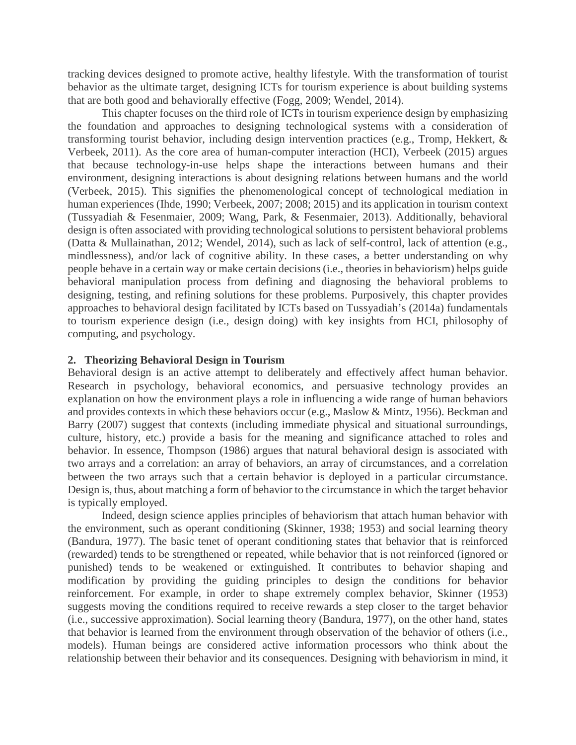tracking devices designed to promote active, healthy lifestyle. With the transformation of tourist behavior as the ultimate target, designing ICTs for tourism experience is about building systems that are both good and behaviorally effective (Fogg, 2009; Wendel, 2014).

This chapter focuses on the third role of ICTs in tourism experience design by emphasizing the foundation and approaches to designing technological systems with a consideration of transforming tourist behavior, including design intervention practices (e.g., Tromp, Hekkert, & Verbeek, 2011). As the core area of human-computer interaction (HCI), Verbeek (2015) argues that because technology-in-use helps shape the interactions between humans and their environment, designing interactions is about designing relations between humans and the world (Verbeek, 2015). This signifies the phenomenological concept of technological mediation in human experiences (Ihde, 1990; Verbeek, 2007; 2008; 2015) and its application in tourism context (Tussyadiah & Fesenmaier, 2009; Wang, Park, & Fesenmaier, 2013). Additionally, behavioral design is often associated with providing technological solutions to persistent behavioral problems (Datta & Mullainathan, 2012; Wendel, 2014), such as lack of self-control, lack of attention (e.g., mindlessness), and/or lack of cognitive ability. In these cases, a better understanding on why people behave in a certain way or make certain decisions (i.e., theories in behaviorism) helps guide behavioral manipulation process from defining and diagnosing the behavioral problems to designing, testing, and refining solutions for these problems. Purposively, this chapter provides approaches to behavioral design facilitated by ICTs based on Tussyadiah's (2014a) fundamentals to tourism experience design (i.e., design doing) with key insights from HCI, philosophy of computing, and psychology.

## **2. Theorizing Behavioral Design in Tourism**

Behavioral design is an active attempt to deliberately and effectively affect human behavior. Research in psychology, behavioral economics, and persuasive technology provides an explanation on how the environment plays a role in influencing a wide range of human behaviors and provides contexts in which these behaviors occur (e.g., Maslow & Mintz, 1956). Beckman and Barry (2007) suggest that contexts (including immediate physical and situational surroundings, culture, history, etc.) provide a basis for the meaning and significance attached to roles and behavior. In essence, Thompson (1986) argues that natural behavioral design is associated with two arrays and a correlation: an array of behaviors, an array of circumstances, and a correlation between the two arrays such that a certain behavior is deployed in a particular circumstance. Design is, thus, about matching a form of behavior to the circumstance in which the target behavior is typically employed.

Indeed, design science applies principles of behaviorism that attach human behavior with the environment, such as operant conditioning (Skinner, 1938; 1953) and social learning theory (Bandura, 1977). The basic tenet of operant conditioning states that behavior that is reinforced (rewarded) tends to be strengthened or repeated, while behavior that is not reinforced (ignored or punished) tends to be weakened or extinguished. It contributes to behavior shaping and modification by providing the guiding principles to design the conditions for behavior reinforcement. For example, in order to shape extremely complex behavior, Skinner (1953) suggests moving the conditions required to receive rewards a step closer to the target behavior (i.e., successive approximation). Social learning theory (Bandura, 1977), on the other hand, states that behavior is learned from the environment through observation of the behavior of others (i.e., models). Human beings are considered active information processors who think about the relationship between their behavior and its consequences. Designing with behaviorism in mind, it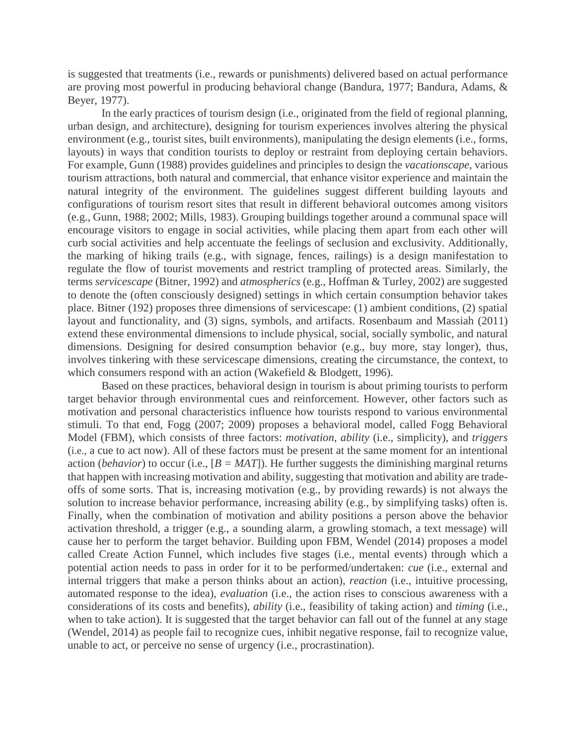is suggested that treatments (i.e., rewards or punishments) delivered based on actual performance are proving most powerful in producing behavioral change (Bandura, 1977; Bandura, Adams, & Beyer, 1977).

In the early practices of tourism design (i.e., originated from the field of regional planning, urban design, and architecture), designing for tourism experiences involves altering the physical environment (e.g., tourist sites, built environments), manipulating the design elements (i.e., forms, layouts) in ways that condition tourists to deploy or restraint from deploying certain behaviors. For example, Gunn (1988) provides guidelines and principles to design the *vacationscape*, various tourism attractions, both natural and commercial, that enhance visitor experience and maintain the natural integrity of the environment. The guidelines suggest different building layouts and configurations of tourism resort sites that result in different behavioral outcomes among visitors (e.g., Gunn, 1988; 2002; Mills, 1983). Grouping buildings together around a communal space will encourage visitors to engage in social activities, while placing them apart from each other will curb social activities and help accentuate the feelings of seclusion and exclusivity. Additionally, the marking of hiking trails (e.g., with signage, fences, railings) is a design manifestation to regulate the flow of tourist movements and restrict trampling of protected areas. Similarly, the terms *servicescape* (Bitner, 1992) and *atmospherics* (e.g., Hoffman & Turley, 2002) are suggested to denote the (often consciously designed) settings in which certain consumption behavior takes place. Bitner (192) proposes three dimensions of servicescape: (1) ambient conditions, (2) spatial layout and functionality, and (3) signs, symbols, and artifacts. Rosenbaum and Massiah (2011) extend these environmental dimensions to include physical, social, socially symbolic, and natural dimensions. Designing for desired consumption behavior (e.g., buy more, stay longer), thus, involves tinkering with these servicescape dimensions, creating the circumstance, the context, to which consumers respond with an action (Wakefield & Blodgett, 1996).

Based on these practices, behavioral design in tourism is about priming tourists to perform target behavior through environmental cues and reinforcement. However, other factors such as motivation and personal characteristics influence how tourists respond to various environmental stimuli. To that end, Fogg (2007; 2009) proposes a behavioral model, called Fogg Behavioral Model (FBM), which consists of three factors: *motivation*, *ability* (i.e., simplicity), and *triggers* (i.e., a cue to act now). All of these factors must be present at the same moment for an intentional action (*behavior*) to occur (i.e.,  $[B = MAT]$ ). He further suggests the diminishing marginal returns that happen with increasing motivation and ability, suggesting that motivation and ability are tradeoffs of some sorts. That is, increasing motivation (e.g., by providing rewards) is not always the solution to increase behavior performance, increasing ability (e.g., by simplifying tasks) often is. Finally, when the combination of motivation and ability positions a person above the behavior activation threshold, a trigger (e.g., a sounding alarm, a growling stomach, a text message) will cause her to perform the target behavior. Building upon FBM, Wendel (2014) proposes a model called Create Action Funnel, which includes five stages (i.e., mental events) through which a potential action needs to pass in order for it to be performed/undertaken: *cue* (i.e., external and internal triggers that make a person thinks about an action), *reaction* (i.e., intuitive processing, automated response to the idea), *evaluation* (i.e., the action rises to conscious awareness with a considerations of its costs and benefits), *ability* (i.e., feasibility of taking action) and *timing* (i.e., when to take action). It is suggested that the target behavior can fall out of the funnel at any stage (Wendel, 2014) as people fail to recognize cues, inhibit negative response, fail to recognize value, unable to act, or perceive no sense of urgency (i.e., procrastination).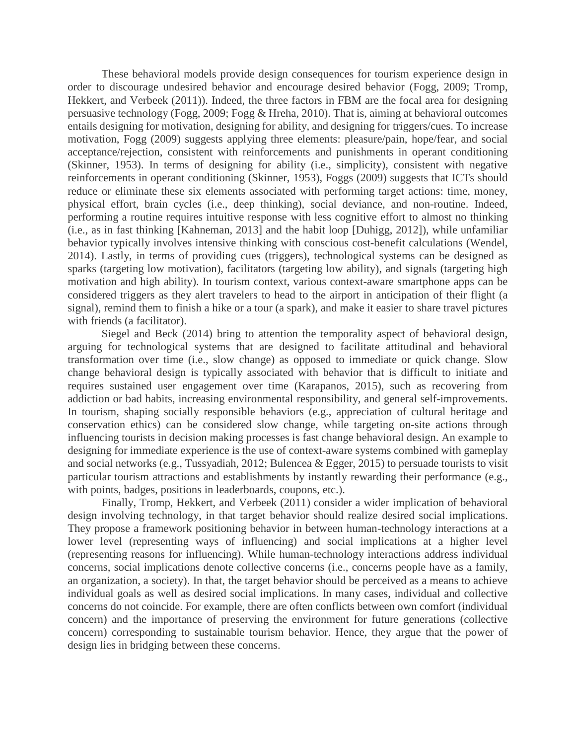These behavioral models provide design consequences for tourism experience design in order to discourage undesired behavior and encourage desired behavior (Fogg, 2009; Tromp, Hekkert, and Verbeek (2011)). Indeed, the three factors in FBM are the focal area for designing persuasive technology (Fogg, 2009; Fogg & Hreha, 2010). That is, aiming at behavioral outcomes entails designing for motivation, designing for ability, and designing for triggers/cues. To increase motivation, Fogg (2009) suggests applying three elements: pleasure/pain, hope/fear, and social acceptance/rejection, consistent with reinforcements and punishments in operant conditioning (Skinner, 1953). In terms of designing for ability (i.e., simplicity), consistent with negative reinforcements in operant conditioning (Skinner, 1953), Foggs (2009) suggests that ICTs should reduce or eliminate these six elements associated with performing target actions: time, money, physical effort, brain cycles (i.e., deep thinking), social deviance, and non-routine. Indeed, performing a routine requires intuitive response with less cognitive effort to almost no thinking (i.e., as in fast thinking [Kahneman, 2013] and the habit loop [Duhigg, 2012]), while unfamiliar behavior typically involves intensive thinking with conscious cost-benefit calculations (Wendel, 2014). Lastly, in terms of providing cues (triggers), technological systems can be designed as sparks (targeting low motivation), facilitators (targeting low ability), and signals (targeting high motivation and high ability). In tourism context, various context-aware smartphone apps can be considered triggers as they alert travelers to head to the airport in anticipation of their flight (a signal), remind them to finish a hike or a tour (a spark), and make it easier to share travel pictures with friends (a facilitator).

Siegel and Beck (2014) bring to attention the temporality aspect of behavioral design, arguing for technological systems that are designed to facilitate attitudinal and behavioral transformation over time (i.e., slow change) as opposed to immediate or quick change. Slow change behavioral design is typically associated with behavior that is difficult to initiate and requires sustained user engagement over time (Karapanos, 2015), such as recovering from addiction or bad habits, increasing environmental responsibility, and general self-improvements. In tourism, shaping socially responsible behaviors (e.g., appreciation of cultural heritage and conservation ethics) can be considered slow change, while targeting on-site actions through influencing tourists in decision making processes is fast change behavioral design. An example to designing for immediate experience is the use of context-aware systems combined with gameplay and social networks (e.g., Tussyadiah, 2012; Bulencea & Egger, 2015) to persuade tourists to visit particular tourism attractions and establishments by instantly rewarding their performance (e.g., with points, badges, positions in leaderboards, coupons, etc.).

Finally, Tromp, Hekkert, and Verbeek (2011) consider a wider implication of behavioral design involving technology, in that target behavior should realize desired social implications. They propose a framework positioning behavior in between human-technology interactions at a lower level (representing ways of influencing) and social implications at a higher level (representing reasons for influencing). While human-technology interactions address individual concerns, social implications denote collective concerns (i.e., concerns people have as a family, an organization, a society). In that, the target behavior should be perceived as a means to achieve individual goals as well as desired social implications. In many cases, individual and collective concerns do not coincide. For example, there are often conflicts between own comfort (individual concern) and the importance of preserving the environment for future generations (collective concern) corresponding to sustainable tourism behavior. Hence, they argue that the power of design lies in bridging between these concerns.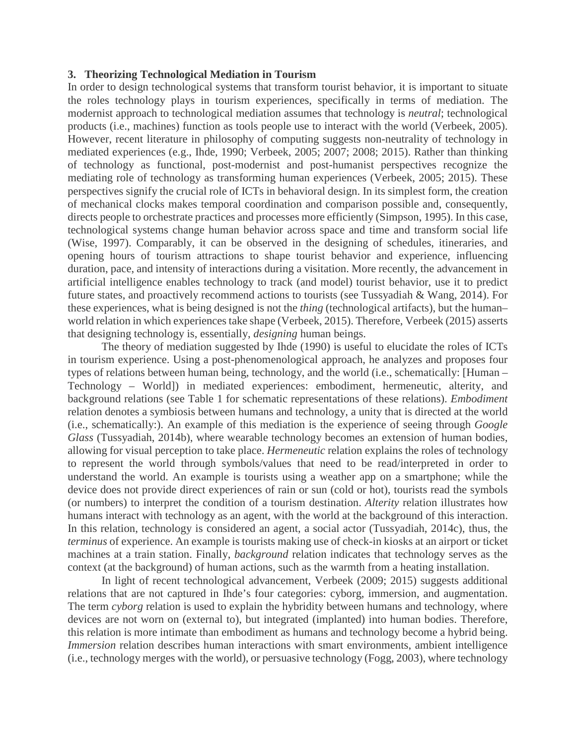### **3. Theorizing Technological Mediation in Tourism**

In order to design technological systems that transform tourist behavior, it is important to situate the roles technology plays in tourism experiences, specifically in terms of mediation. The modernist approach to technological mediation assumes that technology is *neutral*; technological products (i.e., machines) function as tools people use to interact with the world (Verbeek, 2005). However, recent literature in philosophy of computing suggests non-neutrality of technology in mediated experiences (e.g., Ihde, 1990; Verbeek, 2005; 2007; 2008; 2015). Rather than thinking of technology as functional, post-modernist and post-humanist perspectives recognize the mediating role of technology as transforming human experiences (Verbeek, 2005; 2015). These perspectives signify the crucial role of ICTs in behavioral design. In its simplest form, the creation of mechanical clocks makes temporal coordination and comparison possible and, consequently, directs people to orchestrate practices and processes more efficiently (Simpson, 1995). In this case, technological systems change human behavior across space and time and transform social life (Wise, 1997). Comparably, it can be observed in the designing of schedules, itineraries, and opening hours of tourism attractions to shape tourist behavior and experience, influencing duration, pace, and intensity of interactions during a visitation. More recently, the advancement in artificial intelligence enables technology to track (and model) tourist behavior, use it to predict future states, and proactively recommend actions to tourists (see Tussyadiah & Wang, 2014). For these experiences, what is being designed is not the *thing* (technological artifacts), but the human– world relation in which experiences take shape (Verbeek, 2015). Therefore, Verbeek (2015) asserts that designing technology is, essentially, *designing* human beings.

The theory of mediation suggested by Ihde (1990) is useful to elucidate the roles of ICTs in tourism experience. Using a post-phenomenological approach, he analyzes and proposes four types of relations between human being, technology, and the world (i.e., schematically: [Human – Technology – World]) in mediated experiences: embodiment, hermeneutic, alterity, and background relations (see Table 1 for schematic representations of these relations). *Embodiment* relation denotes a symbiosis between humans and technology, a unity that is directed at the world (i.e., schematically:). An example of this mediation is the experience of seeing through *Google Glass* (Tussyadiah, 2014b), where wearable technology becomes an extension of human bodies, allowing for visual perception to take place. *Hermeneutic* relation explains the roles of technology to represent the world through symbols/values that need to be read/interpreted in order to understand the world. An example is tourists using a weather app on a smartphone; while the device does not provide direct experiences of rain or sun (cold or hot), tourists read the symbols (or numbers) to interpret the condition of a tourism destination. *Alterity* relation illustrates how humans interact with technology as an agent, with the world at the background of this interaction. In this relation, technology is considered an agent, a social actor (Tussyadiah, 2014c), thus, the *terminus* of experience. An example is tourists making use of check-in kiosks at an airport or ticket machines at a train station. Finally, *background* relation indicates that technology serves as the context (at the background) of human actions, such as the warmth from a heating installation.

In light of recent technological advancement, Verbeek (2009; 2015) suggests additional relations that are not captured in Ihde's four categories: cyborg, immersion, and augmentation. The term *cyborg* relation is used to explain the hybridity between humans and technology, where devices are not worn on (external to), but integrated (implanted) into human bodies. Therefore, this relation is more intimate than embodiment as humans and technology become a hybrid being. *Immersion* relation describes human interactions with smart environments, ambient intelligence (i.e., technology merges with the world), or persuasive technology (Fogg, 2003), where technology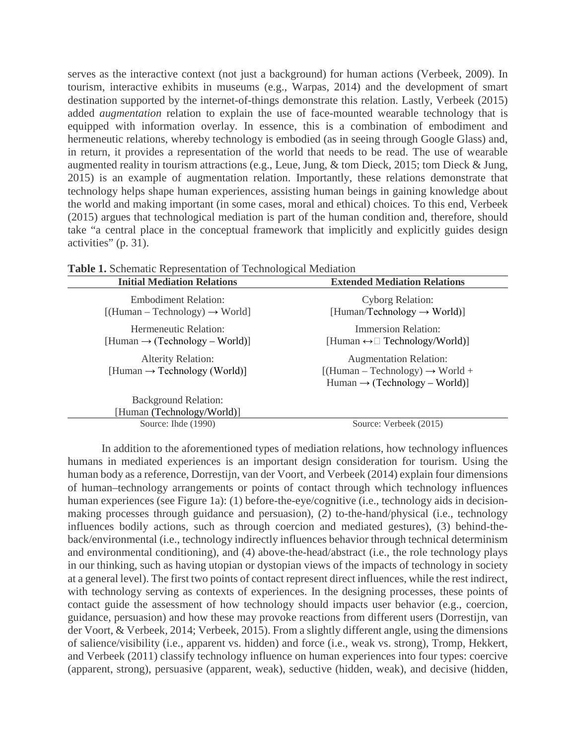serves as the interactive context (not just a background) for human actions (Verbeek, 2009). In tourism, interactive exhibits in museums (e.g., Warpas, 2014) and the development of smart destination supported by the internet-of-things demonstrate this relation. Lastly, Verbeek (2015) added *augmentation* relation to explain the use of face-mounted wearable technology that is equipped with information overlay. In essence, this is a combination of embodiment and hermeneutic relations, whereby technology is embodied (as in seeing through Google Glass) and, in return, it provides a representation of the world that needs to be read. The use of wearable augmented reality in tourism attractions (e.g., Leue, Jung, & tom Dieck, 2015; tom Dieck & Jung, 2015) is an example of augmentation relation. Importantly, these relations demonstrate that technology helps shape human experiences, assisting human beings in gaining knowledge about the world and making important (in some cases, moral and ethical) choices. To this end, Verbeek (2015) argues that technological mediation is part of the human condition and, therefore, should take "a central place in the conceptual framework that implicitly and explicitly guides design activities" (p. 31).

| <b>Initial Mediation Relations</b>                                                             | <b>Extended Mediation Relations</b>                                                                                                           |
|------------------------------------------------------------------------------------------------|-----------------------------------------------------------------------------------------------------------------------------------------------|
| <b>Embodiment Relation:</b><br>$[(\text{Human} - \text{Technology}) \rightarrow \text{World}]$ | <b>Cyborg Relation:</b><br>$[Human/Technology \rightarrow World)]$                                                                            |
| Hermeneutic Relation:<br>$[Human \rightarrow (Technology - World)]$                            | Immersion Relation:<br>[Human $\leftrightarrow \Box$ Technology/World)]                                                                       |
| <b>Alterity Relation:</b><br>$[Human \rightarrow Technology (World)]$                          | <b>Augmentation Relation:</b><br>$[(\text{Human} - \text{Technology}) \rightarrow \text{World} +$<br>$Human \rightarrow (Technology - World)$ |
| Background Relation:<br>[Human (Technology/World)]                                             |                                                                                                                                               |
| Source: Ihde (1990)                                                                            | Source: Verbeek (2015)                                                                                                                        |

**Table 1.** Schematic Representation of Technological Mediation

In addition to the aforementioned types of mediation relations, how technology influences humans in mediated experiences is an important design consideration for tourism. Using the human body as a reference, Dorrestijn, van der Voort, and Verbeek (2014) explain four dimensions of human–technology arrangements or points of contact through which technology influences human experiences (see Figure 1a): (1) before-the-eye/cognitive (i.e., technology aids in decisionmaking processes through guidance and persuasion), (2) to-the-hand/physical (i.e., technology influences bodily actions, such as through coercion and mediated gestures), (3) behind-theback/environmental (i.e., technology indirectly influences behavior through technical determinism and environmental conditioning), and (4) above-the-head/abstract (i.e., the role technology plays in our thinking, such as having utopian or dystopian views of the impacts of technology in society at a general level). The first two points of contact represent direct influences, while the rest indirect, with technology serving as contexts of experiences. In the designing processes, these points of contact guide the assessment of how technology should impacts user behavior (e.g., coercion, guidance, persuasion) and how these may provoke reactions from different users (Dorrestijn, van der Voort, & Verbeek, 2014; Verbeek, 2015). From a slightly different angle, using the dimensions of salience/visibility (i.e., apparent vs. hidden) and force (i.e., weak vs. strong), Tromp, Hekkert, and Verbeek (2011) classify technology influence on human experiences into four types: coercive (apparent, strong), persuasive (apparent, weak), seductive (hidden, weak), and decisive (hidden,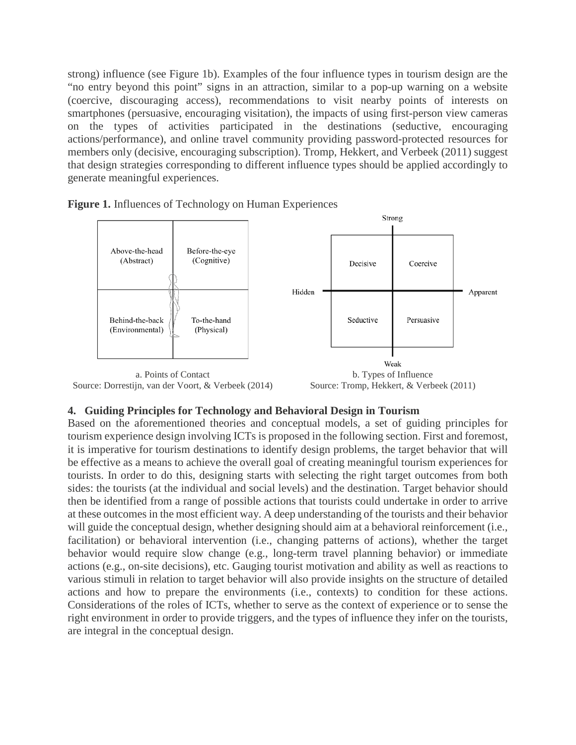strong) influence (see Figure 1b). Examples of the four influence types in tourism design are the "no entry beyond this point" signs in an attraction, similar to a pop-up warning on a website (coercive, discouraging access), recommendations to visit nearby points of interests on smartphones (persuasive, encouraging visitation), the impacts of using first-person view cameras on the types of activities participated in the destinations (seductive, encouraging actions/performance), and online travel community providing password-protected resources for members only (decisive, encouraging subscription). Tromp, Hekkert, and Verbeek (2011) suggest that design strategies corresponding to different influence types should be applied accordingly to generate meaningful experiences.





# **4. Guiding Principles for Technology and Behavioral Design in Tourism**

Based on the aforementioned theories and conceptual models, a set of guiding principles for tourism experience design involving ICTs is proposed in the following section. First and foremost, it is imperative for tourism destinations to identify design problems, the target behavior that will be effective as a means to achieve the overall goal of creating meaningful tourism experiences for tourists. In order to do this, designing starts with selecting the right target outcomes from both sides: the tourists (at the individual and social levels) and the destination. Target behavior should then be identified from a range of possible actions that tourists could undertake in order to arrive at these outcomes in the most efficient way. A deep understanding of the tourists and their behavior will guide the conceptual design, whether designing should aim at a behavioral reinforcement (i.e., facilitation) or behavioral intervention (i.e., changing patterns of actions), whether the target behavior would require slow change (e.g., long-term travel planning behavior) or immediate actions (e.g., on-site decisions), etc. Gauging tourist motivation and ability as well as reactions to various stimuli in relation to target behavior will also provide insights on the structure of detailed actions and how to prepare the environments (i.e., contexts) to condition for these actions. Considerations of the roles of ICTs, whether to serve as the context of experience or to sense the right environment in order to provide triggers, and the types of influence they infer on the tourists, are integral in the conceptual design.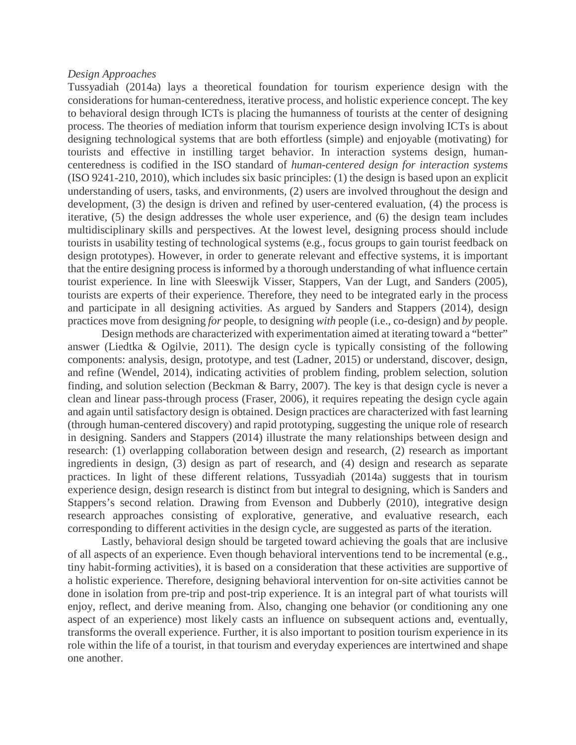#### *Design Approaches*

Tussyadiah (2014a) lays a theoretical foundation for tourism experience design with the considerations for human-centeredness, iterative process, and holistic experience concept. The key to behavioral design through ICTs is placing the humanness of tourists at the center of designing process. The theories of mediation inform that tourism experience design involving ICTs is about designing technological systems that are both effortless (simple) and enjoyable (motivating) for tourists and effective in instilling target behavior. In interaction systems design, humancenteredness is codified in the ISO standard of *human-centered design for interaction systems*  (ISO 9241-210, 2010), which includes six basic principles: (1) the design is based upon an explicit understanding of users, tasks, and environments, (2) users are involved throughout the design and development, (3) the design is driven and refined by user-centered evaluation, (4) the process is iterative, (5) the design addresses the whole user experience, and (6) the design team includes multidisciplinary skills and perspectives. At the lowest level, designing process should include tourists in usability testing of technological systems (e.g., focus groups to gain tourist feedback on design prototypes). However, in order to generate relevant and effective systems, it is important that the entire designing process is informed by a thorough understanding of what influence certain tourist experience. In line with Sleeswijk Visser, Stappers, Van der Lugt, and Sanders (2005), tourists are experts of their experience. Therefore, they need to be integrated early in the process and participate in all designing activities. As argued by Sanders and Stappers (2014), design practices move from designing *for* people, to designing *with* people (i.e., co-design) and *by* people.

Design methods are characterized with experimentation aimed at iterating toward a "better" answer (Liedtka & Ogilvie, 2011). The design cycle is typically consisting of the following components: analysis, design, prototype, and test (Ladner, 2015) or understand, discover, design, and refine (Wendel, 2014), indicating activities of problem finding, problem selection, solution finding, and solution selection (Beckman & Barry, 2007). The key is that design cycle is never a clean and linear pass-through process (Fraser, 2006), it requires repeating the design cycle again and again until satisfactory design is obtained. Design practices are characterized with fast learning (through human-centered discovery) and rapid prototyping, suggesting the unique role of research in designing. Sanders and Stappers (2014) illustrate the many relationships between design and research: (1) overlapping collaboration between design and research, (2) research as important ingredients in design, (3) design as part of research, and (4) design and research as separate practices. In light of these different relations, Tussyadiah (2014a) suggests that in tourism experience design, design research is distinct from but integral to designing, which is Sanders and Stappers's second relation. Drawing from Evenson and Dubberly (2010), integrative design research approaches consisting of explorative, generative, and evaluative research, each corresponding to different activities in the design cycle, are suggested as parts of the iteration.

Lastly, behavioral design should be targeted toward achieving the goals that are inclusive of all aspects of an experience. Even though behavioral interventions tend to be incremental (e.g., tiny habit-forming activities), it is based on a consideration that these activities are supportive of a holistic experience. Therefore, designing behavioral intervention for on-site activities cannot be done in isolation from pre-trip and post-trip experience. It is an integral part of what tourists will enjoy, reflect, and derive meaning from. Also, changing one behavior (or conditioning any one aspect of an experience) most likely casts an influence on subsequent actions and, eventually, transforms the overall experience. Further, it is also important to position tourism experience in its role within the life of a tourist, in that tourism and everyday experiences are intertwined and shape one another.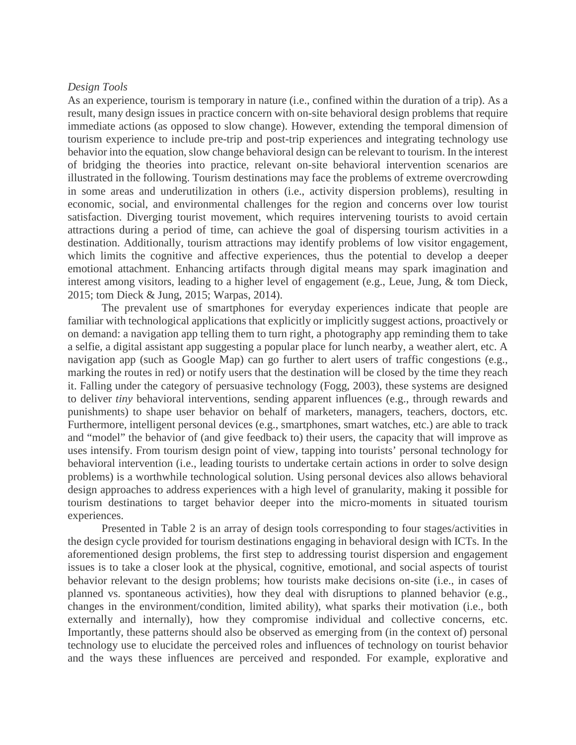### *Design Tools*

As an experience, tourism is temporary in nature (i.e., confined within the duration of a trip). As a result, many design issues in practice concern with on-site behavioral design problems that require immediate actions (as opposed to slow change). However, extending the temporal dimension of tourism experience to include pre-trip and post-trip experiences and integrating technology use behavior into the equation, slow change behavioral design can be relevant to tourism. In the interest of bridging the theories into practice, relevant on-site behavioral intervention scenarios are illustrated in the following. Tourism destinations may face the problems of extreme overcrowding in some areas and underutilization in others (i.e., activity dispersion problems), resulting in economic, social, and environmental challenges for the region and concerns over low tourist satisfaction. Diverging tourist movement, which requires intervening tourists to avoid certain attractions during a period of time, can achieve the goal of dispersing tourism activities in a destination. Additionally, tourism attractions may identify problems of low visitor engagement, which limits the cognitive and affective experiences, thus the potential to develop a deeper emotional attachment. Enhancing artifacts through digital means may spark imagination and interest among visitors, leading to a higher level of engagement (e.g., Leue, Jung, & tom Dieck, 2015; tom Dieck & Jung, 2015; Warpas, 2014).

The prevalent use of smartphones for everyday experiences indicate that people are familiar with technological applications that explicitly or implicitly suggest actions, proactively or on demand: a navigation app telling them to turn right, a photography app reminding them to take a selfie, a digital assistant app suggesting a popular place for lunch nearby, a weather alert, etc. A navigation app (such as Google Map) can go further to alert users of traffic congestions (e.g., marking the routes in red) or notify users that the destination will be closed by the time they reach it. Falling under the category of persuasive technology (Fogg, 2003), these systems are designed to deliver *tiny* behavioral interventions, sending apparent influences (e.g., through rewards and punishments) to shape user behavior on behalf of marketers, managers, teachers, doctors, etc. Furthermore, intelligent personal devices (e.g., smartphones, smart watches, etc.) are able to track and "model" the behavior of (and give feedback to) their users, the capacity that will improve as uses intensify. From tourism design point of view, tapping into tourists' personal technology for behavioral intervention (i.e., leading tourists to undertake certain actions in order to solve design problems) is a worthwhile technological solution. Using personal devices also allows behavioral design approaches to address experiences with a high level of granularity, making it possible for tourism destinations to target behavior deeper into the micro-moments in situated tourism experiences.

Presented in Table 2 is an array of design tools corresponding to four stages/activities in the design cycle provided for tourism destinations engaging in behavioral design with ICTs. In the aforementioned design problems, the first step to addressing tourist dispersion and engagement issues is to take a closer look at the physical, cognitive, emotional, and social aspects of tourist behavior relevant to the design problems; how tourists make decisions on-site (i.e., in cases of planned vs. spontaneous activities), how they deal with disruptions to planned behavior (e.g., changes in the environment/condition, limited ability), what sparks their motivation (i.e., both externally and internally), how they compromise individual and collective concerns, etc. Importantly, these patterns should also be observed as emerging from (in the context of) personal technology use to elucidate the perceived roles and influences of technology on tourist behavior and the ways these influences are perceived and responded. For example, explorative and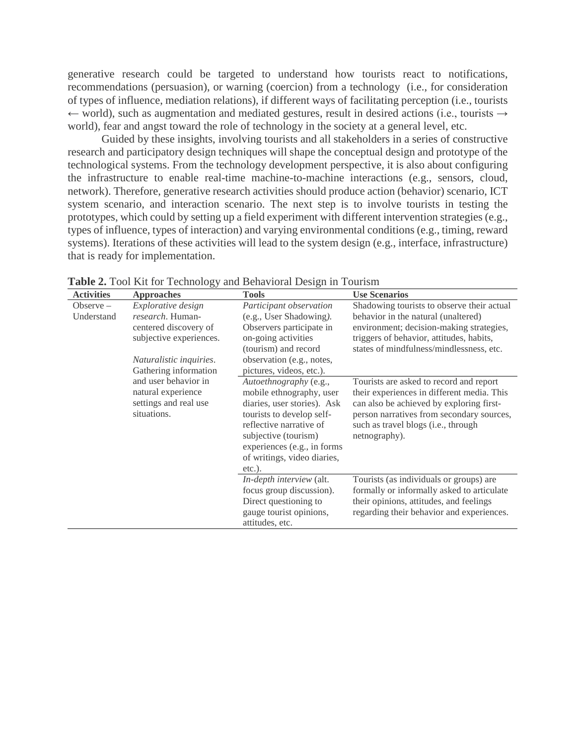generative research could be targeted to understand how tourists react to notifications, recommendations (persuasion), or warning (coercion) from a technology (i.e., for consideration of types of influence, mediation relations), if different ways of facilitating perception (i.e., tourists  $\leftarrow$  world), such as augmentation and mediated gestures, result in desired actions (i.e., tourists  $\rightarrow$ world), fear and angst toward the role of technology in the society at a general level, etc.

Guided by these insights, involving tourists and all stakeholders in a series of constructive research and participatory design techniques will shape the conceptual design and prototype of the technological systems. From the technology development perspective, it is also about configuring the infrastructure to enable real-time machine-to-machine interactions (e.g., sensors, cloud, network). Therefore, generative research activities should produce action (behavior) scenario, ICT system scenario, and interaction scenario. The next step is to involve tourists in testing the prototypes, which could by setting up a field experiment with different intervention strategies (e.g., types of influence, types of interaction) and varying environmental conditions (e.g., timing, reward systems). Iterations of these activities will lead to the system design (e.g., interface, infrastructure) that is ready for implementation.

| <b>Activities</b>                                                                                                                                                                                                            | <b>Approaches</b>                                                                                                                                           | <b>Tools</b>                                                                                                                                                                                                                                 | <b>Use Scenarios</b>                                                                                                                                                                                                                   |
|------------------------------------------------------------------------------------------------------------------------------------------------------------------------------------------------------------------------------|-------------------------------------------------------------------------------------------------------------------------------------------------------------|----------------------------------------------------------------------------------------------------------------------------------------------------------------------------------------------------------------------------------------------|----------------------------------------------------------------------------------------------------------------------------------------------------------------------------------------------------------------------------------------|
| Observe $-$                                                                                                                                                                                                                  | Explorative design                                                                                                                                          | Participant observation                                                                                                                                                                                                                      | Shadowing tourists to observe their actual                                                                                                                                                                                             |
| research. Human-<br>Understand<br>centered discovery of<br>subjective experiences.<br>Naturalistic inquiries.<br>Gathering information<br>and user behavior in<br>natural experience<br>settings and real use<br>situations. | (e.g., User Shadowing).<br>Observers participate in<br>on-going activities<br>(tourism) and record<br>observation (e.g., notes,<br>pictures, videos, etc.). | behavior in the natural (unaltered)<br>environment; decision-making strategies,<br>triggers of behavior, attitudes, habits,<br>states of mindfulness/mindlessness, etc.                                                                      |                                                                                                                                                                                                                                        |
|                                                                                                                                                                                                                              |                                                                                                                                                             | Autoethnography (e.g.,<br>mobile ethnography, user<br>diaries, user stories). Ask<br>tourists to develop self-<br>reflective narrative of<br>subjective (tourism)<br>experiences (e.g., in forms<br>of writings, video diaries,<br>$etc.$ ). | Tourists are asked to record and report<br>their experiences in different media. This<br>can also be achieved by exploring first-<br>person narratives from secondary sources,<br>such as travel blogs (i.e., through<br>netnography). |
|                                                                                                                                                                                                                              |                                                                                                                                                             | In-depth interview (alt.<br>focus group discussion).<br>Direct questioning to<br>gauge tourist opinions,<br>attitudes, etc.                                                                                                                  | Tourists (as individuals or groups) are<br>formally or informally asked to articulate<br>their opinions, attitudes, and feelings<br>regarding their behavior and experiences.                                                          |

**Table 2.** Tool Kit for Technology and Behavioral Design in Tourism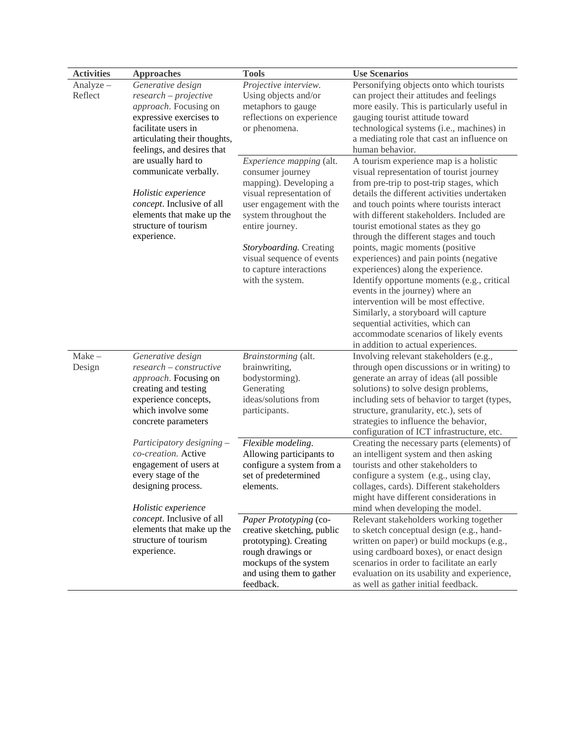| <b>Activities</b> | <b>Approaches</b>            | <b>Tools</b>               | <b>Use Scenarios</b>                         |
|-------------------|------------------------------|----------------------------|----------------------------------------------|
| Analyze -         | Generative design            | Projective interview.      | Personifying objects onto which tourists     |
| Reflect           | $research - projective$      | Using objects and/or       | can project their attitudes and feelings     |
|                   | approach. Focusing on        | metaphors to gauge         | more easily. This is particularly useful in  |
|                   | expressive exercises to      | reflections on experience  | gauging tourist attitude toward              |
|                   | facilitate users in          | or phenomena.              | technological systems (i.e., machines) in    |
|                   | articulating their thoughts, |                            | a mediating role that cast an influence on   |
|                   | feelings, and desires that   |                            | human behavior.                              |
|                   | are usually hard to          | Experience mapping (alt.   | A tourism experience map is a holistic       |
|                   | communicate verbally.        | consumer journey           | visual representation of tourist journey     |
|                   |                              | mapping). Developing a     | from pre-trip to post-trip stages, which     |
|                   | Holistic experience          | visual representation of   | details the different activities undertaken  |
|                   | concept. Inclusive of all    | user engagement with the   | and touch points where tourists interact     |
|                   | elements that make up the    | system throughout the      | with different stakeholders. Included are    |
|                   | structure of tourism         | entire journey.            | tourist emotional states as they go          |
|                   | experience.                  |                            | through the different stages and touch       |
|                   |                              | Storyboarding. Creating    | points, magic moments (positive              |
|                   |                              | visual sequence of events  | experiences) and pain points (negative       |
|                   |                              | to capture interactions    | experiences) along the experience.           |
|                   |                              | with the system.           | Identify opportune moments (e.g., critical   |
|                   |                              |                            | events in the journey) where an              |
|                   |                              |                            | intervention will be most effective.         |
|                   |                              |                            | Similarly, a storyboard will capture         |
|                   |                              |                            | sequential activities, which can             |
|                   |                              |                            | accommodate scenarios of likely events       |
|                   |                              |                            | in addition to actual experiences.           |
| Make-             | Generative design            | Brainstorming (alt.        | Involving relevant stakeholders (e.g.,       |
| Design            | $research-constructive$      | brainwriting,              | through open discussions or in writing) to   |
|                   | approach. Focusing on        | bodystorming).             | generate an array of ideas (all possible     |
|                   | creating and testing         | Generating                 | solutions) to solve design problems,         |
|                   | experience concepts,         | ideas/solutions from       | including sets of behavior to target (types, |
|                   | which involve some           | participants.              | structure, granularity, etc.), sets of       |
|                   | concrete parameters          |                            | strategies to influence the behavior,        |
|                   |                              |                            | configuration of ICT infrastructure, etc.    |
|                   | Participatory designing $-$  | Flexible modeling.         | Creating the necessary parts (elements) of   |
|                   | co-creation. Active          | Allowing participants to   | an intelligent system and then asking        |
|                   | engagement of users at       | configure a system from a  | tourists and other stakeholders to           |
|                   | every stage of the           | set of predetermined       | configure a system (e.g., using clay,        |
|                   | designing process.           | elements.                  | collages, cards). Different stakeholders     |
|                   |                              |                            | might have different considerations in       |
|                   | Holistic experience          |                            | mind when developing the model.              |
|                   | concept. Inclusive of all    | Paper Prototyping (co-     | Relevant stakeholders working together       |
|                   | elements that make up the    | creative sketching, public | to sketch conceptual design (e.g., hand-     |
|                   | structure of tourism         | prototyping). Creating     | written on paper) or build mockups (e.g.,    |
|                   | experience.                  | rough drawings or          | using cardboard boxes), or enact design      |
|                   |                              | mockups of the system      | scenarios in order to facilitate an early    |
|                   |                              | and using them to gather   | evaluation on its usability and experience,  |
|                   |                              | feedback.                  | as well as gather initial feedback.          |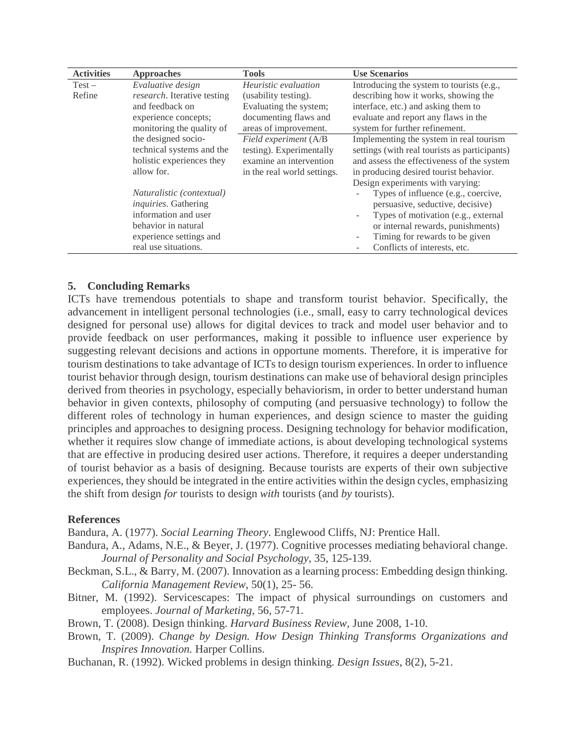| <b>Activities</b> | <b>Approaches</b>                   | <b>Tools</b>                | <b>Use Scenarios</b>                                            |
|-------------------|-------------------------------------|-----------------------------|-----------------------------------------------------------------|
| $Test -$          | Evaluative design                   | Heuristic evaluation        | Introducing the system to tourists (e.g.,                       |
| Refine            | <i>research</i> . Iterative testing | (usability testing).        | describing how it works, showing the                            |
|                   | and feedback on                     | Evaluating the system;      | interface, etc.) and asking them to                             |
|                   | experience concepts;                | documenting flaws and       | evaluate and report any flaws in the                            |
|                   | monitoring the quality of           | areas of improvement.       | system for further refinement.                                  |
|                   | the designed socio-                 | Field experiment (A/B       | Implementing the system in real tourism                         |
|                   | technical systems and the           | testing). Experimentally    | settings (with real tourists as participants)                   |
|                   | holistic experiences they           | examine an intervention     | and assess the effectiveness of the system                      |
|                   | allow for.                          | in the real world settings. | in producing desired tourist behavior.                          |
|                   |                                     |                             | Design experiments with varying:                                |
|                   | Naturalistic (contextual)           |                             | Types of influence (e.g., coercive,                             |
|                   | <i>inquiries</i> . Gathering        |                             | persuasive, seductive, decisive)                                |
|                   | information and user                |                             | Types of motivation (e.g., external<br>$\overline{\phantom{a}}$ |
|                   | behavior in natural                 |                             | or internal rewards, punishments)                               |
|                   | experience settings and             |                             | Timing for rewards to be given                                  |
|                   | real use situations.                |                             | Conflicts of interests, etc.                                    |

# **5. Concluding Remarks**

ICTs have tremendous potentials to shape and transform tourist behavior. Specifically, the advancement in intelligent personal technologies (i.e., small, easy to carry technological devices designed for personal use) allows for digital devices to track and model user behavior and to provide feedback on user performances, making it possible to influence user experience by suggesting relevant decisions and actions in opportune moments. Therefore, it is imperative for tourism destinations to take advantage of ICTs to design tourism experiences. In order to influence tourist behavior through design, tourism destinations can make use of behavioral design principles derived from theories in psychology, especially behaviorism, in order to better understand human behavior in given contexts, philosophy of computing (and persuasive technology) to follow the different roles of technology in human experiences, and design science to master the guiding principles and approaches to designing process. Designing technology for behavior modification, whether it requires slow change of immediate actions, is about developing technological systems that are effective in producing desired user actions. Therefore, it requires a deeper understanding of tourist behavior as a basis of designing. Because tourists are experts of their own subjective experiences, they should be integrated in the entire activities within the design cycles, emphasizing the shift from design *for* tourists to design *with* tourists (and *by* tourists).

# **References**

Bandura, A. (1977). *Social Learning Theory*. Englewood Cliffs, NJ: Prentice Hall.

- Bandura, A., Adams, N.E., & Beyer, J. (1977). Cognitive processes mediating behavioral change. *Journal of Personality and Social Psychology*, 35, 125-139.
- Beckman, S.L., & Barry, M. (2007). Innovation as a learning process: Embedding design thinking. *California Management Review*, 50(1), 25- 56.
- Bitner, M. (1992). Servicescapes: The impact of physical surroundings on customers and employees. *Journal of Marketing*, 56, 57-71.
- Brown, T. (2008). Design thinking. *Harvard Business Review*, June 2008, 1-10.
- Brown, T. (2009). *Change by Design. How Design Thinking Transforms Organizations and Inspires Innovation.* Harper Collins.
- Buchanan, R. (1992). Wicked problems in design thinking. *Design Issues*, 8(2), 5-21.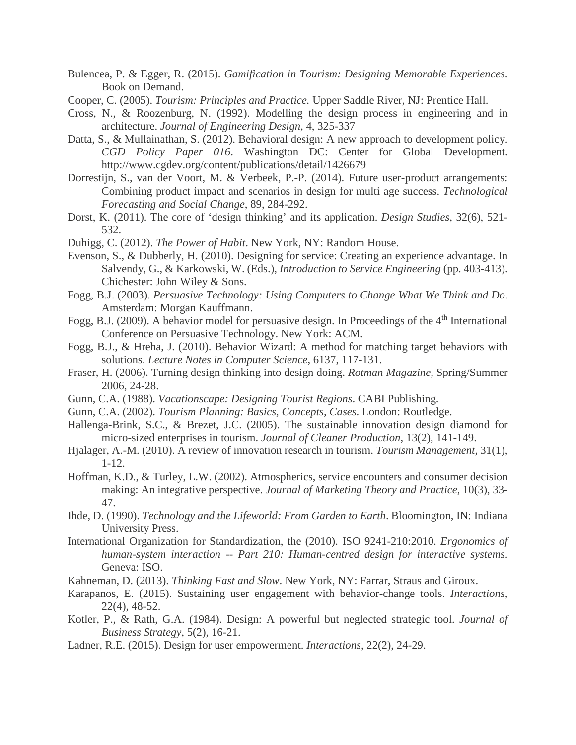- Bulencea, P. & Egger, R. (2015). *Gamification in Tourism: Designing Memorable Experiences*. Book on Demand.
- Cooper, C. (2005). *Tourism: Principles and Practice.* Upper Saddle River, NJ: Prentice Hall.
- Cross, N., & Roozenburg, N. (1992). Modelling the design process in engineering and in architecture. *Journal of Engineering Design*, 4, 325-337
- Datta, S., & Mullainathan, S. (2012). Behavioral design: A new approach to development policy. *CGD Policy Paper 016*. Washington DC: Center for Global Development. http://www.cgdev.org/content/publications/detail/1426679
- Dorrestijn, S., van der Voort, M. & Verbeek, P.-P. (2014). Future user-product arrangements: Combining product impact and scenarios in design for multi age success. *Technological Forecasting and Social Change*, 89, 284-292.
- Dorst, K. (2011). The core of 'design thinking' and its application. *Design Studies*, 32(6), 521- 532.
- Duhigg, C. (2012). *The Power of Habit*. New York, NY: Random House.
- Evenson, S., & Dubberly, H. (2010). Designing for service: Creating an experience advantage. In Salvendy, G., & Karkowski, W. (Eds.), *Introduction to Service Engineering* (pp. 403-413). Chichester: John Wiley & Sons.
- Fogg, B.J. (2003). *Persuasive Technology: Using Computers to Change What We Think and Do*. Amsterdam: Morgan Kauffmann.
- Fogg, B.J. (2009). A behavior model for persuasive design. In Proceedings of the 4<sup>th</sup> International Conference on Persuasive Technology. New York: ACM.
- Fogg, B.J., & Hreha, J. (2010). Behavior Wizard: A method for matching target behaviors with solutions. *Lecture Notes in Computer Science*, 6137, 117-131.
- Fraser, H. (2006). Turning design thinking into design doing. *Rotman Magazine*, Spring/Summer 2006, 24-28.
- Gunn, C.A. (1988). *Vacationscape: Designing Tourist Regions*. CABI Publishing.
- Gunn, C.A. (2002). *Tourism Planning: Basics, Concepts, Cases*. London: Routledge.
- Hallenga-Brink, S.C., & Brezet, J.C. (2005). The sustainable innovation design diamond for micro-sized enterprises in tourism. *Journal of Cleaner Production*, 13(2), 141-149.
- Hjalager, A.-M. (2010). A review of innovation research in tourism. *Tourism Management*, 31(1), 1-12.
- Hoffman, K.D., & Turley, L.W. (2002). Atmospherics, service encounters and consumer decision making: An integrative perspective. *Journal of Marketing Theory and Practice*, 10(3), 33- 47.
- Ihde, D. (1990). *Technology and the Lifeworld: From Garden to Earth*. Bloomington, IN: Indiana University Press.
- International Organization for Standardization, the (2010). ISO 9241-210:2010. *Ergonomics of human-system interaction -- Part 210: Human-centred design for interactive systems*. Geneva: ISO.
- Kahneman, D. (2013). *Thinking Fast and Slow*. New York, NY: Farrar, Straus and Giroux.
- Karapanos, E. (2015). Sustaining user engagement with behavior-change tools. *Interactions*, 22(4), 48-52.
- Kotler, P., & Rath, G.A. (1984). Design: A powerful but neglected strategic tool. *Journal of Business Strategy*, 5(2), 16-21.
- Ladner, R.E. (2015). Design for user empowerment. *Interactions*, 22(2), 24-29.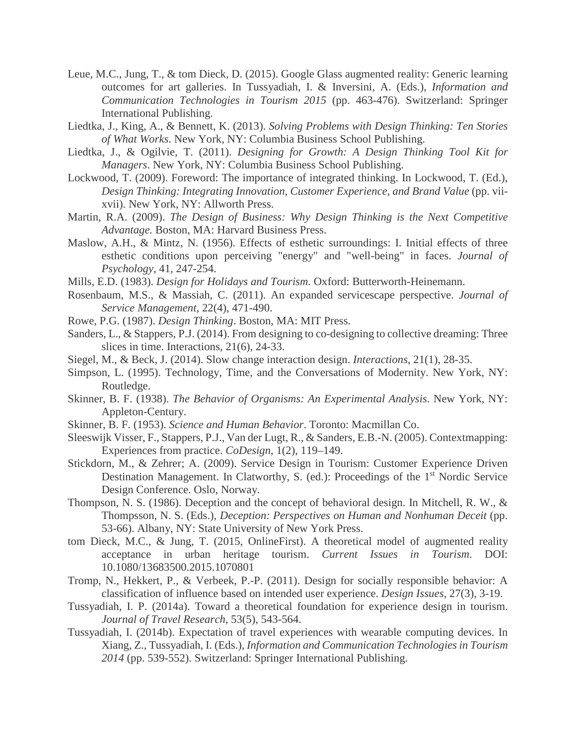- Leue, M.C., Jung, T., & tom Dieck, D. (2015). Google Glass augmented reality: Generic learning outcomes for art galleries. In Tussyadiah, I. & Inversini, A. (Eds.), *Information and Communication Technologies in Tourism 2015* (pp. 463-476). Switzerland: Springer International Publishing.
- Liedtka, J., King, A., & Bennett, K. (2013). *Solving Problems with Design Thinking: Ten Stories of What Works*. New York, NY: Columbia Business School Publishing.
- Liedtka, J., & Ogilvie, T. (2011). *Designing for Growth: A Design Thinking Tool Kit for Managers*. New York, NY: Columbia Business School Publishing.
- Lockwood, T. (2009). Foreword: The importance of integrated thinking. In Lockwood, T. (Ed.), *Design Thinking: Integrating Innovation, Customer Experience, and Brand Value* (pp. viixvii). New York, NY: Allworth Press.
- Martin, R.A. (2009). *The Design of Business: Why Design Thinking is the Next Competitive Advantage.* Boston, MA: Harvard Business Press.
- Maslow, A.H., & Mintz, N. (1956). Effects of esthetic surroundings: I. Initial effects of three esthetic conditions upon perceiving "energy" and "well-being" in faces. *Journal of Psychology*, 41, 247-254.
- Mills, E.D. (1983). *Design for Holidays and Tourism*. Oxford: Butterworth-Heinemann.
- Rosenbaum, M.S., & Massiah, C. (2011). An expanded servicescape perspective. *Journal of Service Management*, 22(4), 471-490.
- Rowe, P.G. (1987). *Design Thinking*. Boston, MA: MIT Press.
- Sanders, L., & Stappers, P.J. (2014). From designing to co-designing to collective dreaming: Three slices in time. Interactions, 21(6), 24-33.
- Siegel, M., & Beck, J. (2014). Slow change interaction design. *Interactions*, 21(1), 28-35.
- Simpson, L. (1995). Technology, Time, and the Conversations of Modernity. New York, NY: Routledge.
- Skinner, B. F. (1938). *The Behavior of Organisms: An Experimental Analysis*. New York, NY: Appleton-Century.
- Skinner, B. F. (1953). *Science and Human Behavior*. Toronto: Macmillan Co.
- Sleeswijk Visser, F., Stappers, P.J., Van der Lugt, R., & Sanders, E.B.-N. (2005). Contextmapping: Experiences from practice. *CoDesign*, 1(2), 119–149.
- Stickdorn, M., & Zehrer; A. (2009). Service Design in Tourism: Customer Experience Driven Destination Management. In Clatworthy, S. (ed.): Proceedings of the 1<sup>st</sup> Nordic Service Design Conference. Oslo, Norway.
- Thompson, N. S. (1986). Deception and the concept of behavioral design. In Mitchell, R. W., & Thompsson, N. S. (Eds.), *Deception: Perspectives on Human and Nonhuman Deceit* (pp. 53-66). Albany, NY: State University of New York Press.
- tom Dieck, M.C., & Jung, T. (2015, OnlineFirst). A theoretical model of augmented reality acceptance in urban heritage tourism. *Current Issues in Tourism*. DOI: 10.1080/13683500.2015.1070801
- Tromp, N., Hekkert, P., & Verbeek, P.-P. (2011). Design for socially responsible behavior: A classification of influence based on intended user experience. *Design Issues*, 27(3), 3-19.
- Tussyadiah, I. P. (2014a). Toward a theoretical foundation for experience design in tourism. *Journal of Travel Research*, 53(5), 543-564.
- Tussyadiah, I. (2014b). Expectation of travel experiences with wearable computing devices. In Xiang, Z., Tussyadiah, I. (Eds.), *Information and Communication Technologies in Tourism 2014* (pp. 539-552). Switzerland: Springer International Publishing.